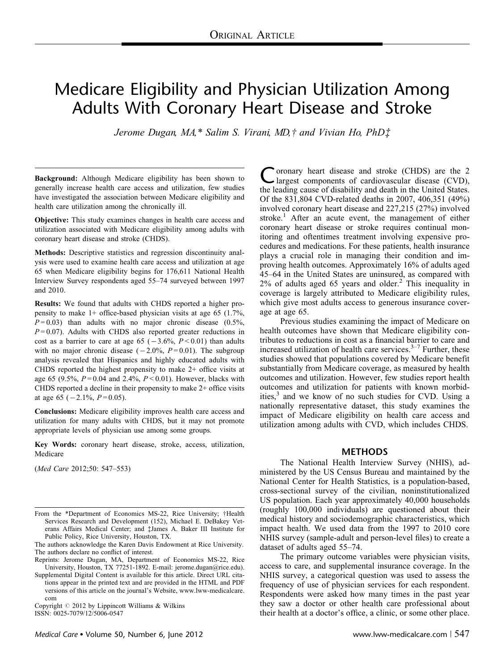# Medicare Eligibility and Physician Utilization Among Adults With Coronary Heart Disease and Stroke

*Jerome Dugan, MA,\* Salim S. Virani, MD,† and Vivian Ho, PhD‡* 

**Background:** Although Medicare eligibility has been shown to generally increase health care access and utilization, few studies have investigated the association between Medicare eligibility and health care utilization among the chronically ill.

**Objective:** This study examines changes in health care access and utilization associated with Medicare eligibility among adults with coronary heart disease and stroke (CHDS).

**Methods:** Descriptive statistics and regression discontinuity analysis were used to examine health care access and utilization at age 65 when Medicare eligibility begins for 176,611 National Health Interview Survey respondents aged 55–74 surveyed between 1997 and 2010.

**Results:** We found that adults with CHDS reported a higher propensity to make 1+ office-based physician visits at age 65 (1.7%,  $P = 0.03$ ) than adults with no major chronic disease  $(0.5\%,$  $P=0.07$ ). Adults with CHDS also reported greater reductions in cost as a barrier to care at age  $65 (-3.6\%, P < 0.01)$  than adults with no major chronic disease  $(-2.0\%, P=0.01)$ . The subgroup analysis revealed that Hispanics and highly educated adults with CHDS reported the highest propensity to make 2+ office visits at age 65 (9.5%, *P* = 0.04 and 2.4%, *P* < 0.01). However, blacks with CHDS reported a decline in their propensity to make 2+ office visits at age 65  $(-2.1\%, P=0.05)$ .

**Conclusions:** Medicare eligibility improves health care access and utilization for many adults with CHDS, but it may not promote appropriate levels of physician use among some groups.

**Key Words:** coronary heart disease, stroke, access, utilization, Medicare

(*Med Care* 2012;50: 547–553)

Copyright  $\odot$  2012 by Lippincott Williams & Wilkins ISSN: 0025-7079/12/5006-0547

oronary heart disease and stroke (CHDS) are the 2 largest components of cardiovascular disease (CVD), the leading cause of disability and death in the United States. Of the 831,804 CVD-related deaths in 2007, 406,351 (49%) involved coronary heart disease and 227,215 (27%) involved stroke.<sup>[1](#page-5-0)</sup> After an acute event, the management of either coronary heart disease or stroke requires continual monitoring and oftentimes treatment involving expensive procedures and medications. For these patients, health insurance plays a crucial role in managing their condition and improving health outcomes. Approximately 16% of adults aged 45–64 in the United States are uninsured, as compared with  $2\%$  of adults aged 65 years and older.<sup>2</sup> This inequality in coverage is largely attributed to Medicare eligibility rules, which give most adults access to generous insurance coverage at age 65.

Previous studies examining the impact of Medicare on health outcomes have shown that Medicare eligibility contributes to reductions in cost as a financial barrier to care and increased utilization of health care services. $3-7$  Further, these studies showed that populations covered by Medicare benefit substantially from Medicare coverage, as measured by health outcomes and utilization. However, few studies report health outcomes and utilization for patients with known morbidities, $3$  and we know of no such studies for CVD. Using a nationally representative dataset, this study examines the impact of Medicare eligibility on health care access and utilization among adults with CVD, which includes CHDS.

## **METHODS**

The National Health Interview Survey (NHIS), administered by the US Census Bureau and maintained by the National Center for Health Statistics, is a population-based, cross-sectional survey of the civilian, noninstitutionalized US population. Each year approximately 40,000 households (roughly 100,000 individuals) are questioned about their medical history and sociodemographic characteristics, which impact health. We used data from the 1997 to 2010 core NHIS survey (sample-adult and person-level files) to create a dataset of adults aged 55–74.

The primary outcome variables were physician visits, access to care, and supplemental insurance coverage. In the NHIS survey, a categorical question was used to assess the frequency of use of physician services for each respondent. Respondents were asked how many times in the past year they saw a doctor or other health care professional about their health at a doctor's office, a clinic, or some other place.

From the \*Department of Economics MS-22, Rice University; †Health Services Research and Development (152), Michael E. DeBakey Veterans Affairs Medical Center; and ‡James A. Baker III Institute for Public Policy, Rice University, Houston, TX.

The authors acknowledge the Karen Davis Endowment at Rice University. The authors declare no conflict of interest.

Reprints: Jerome Dugan, MA, Department of Economics MS-22, Rice University, Houston, TX 77251-1892. E-mail: jerome.dugan@rice.edu).

Supplemental Digital Content is available for this article. Direct URL citations appear in the printed text and are provided in the HTML and PDF versions of this article on the journal's Website, [www.lww-medicalcare.](http://www.lww-medicalcare.com) [com](http://www.lww-medicalcare.com)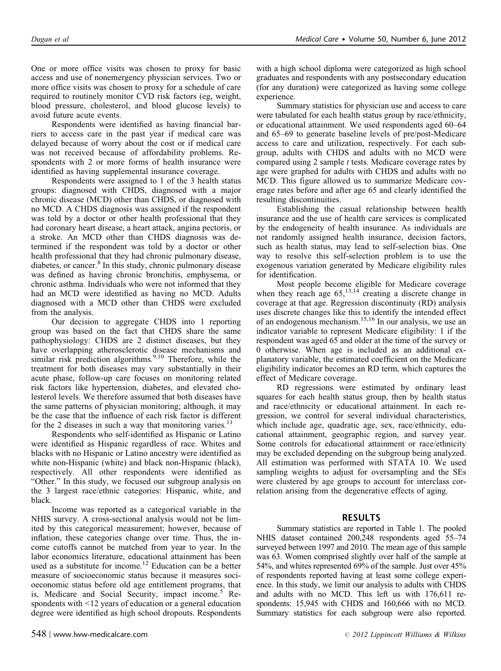One or more office visits was chosen to proxy for basic access and use of nonemergency physician services. Two or more office visits was chosen to proxy for a schedule of care required to routinely monitor CVD risk factors (eg, weight, blood pressure, cholesterol, and blood glucose levels) to avoid future acute events.

Respondents were identified as having financial barriers to access care in the past year if medical care was delayed because of worry about the cost or if medical care was not received because of affordability problems. Respondents with 2 or more forms of health insurance were identified as having supplemental insurance coverage.

Respondents were assigned to 1 of the 3 health status groups: diagnosed with CHDS, diagnosed with a major chronic disease (MCD) other than CHDS, or diagnosed with no MCD. A CHDS diagnosis was assigned if the respondent was told by a doctor or other health professional that they had coronary heart disease, a heart attack, angina pectoris, or a stroke. An MCD other than CHDS diagnosis was determined if the respondent was told by a doctor or other health professional that they had chronic pulmonary disease, diabetes, or cancer.<sup>[8](#page-5-0)</sup> In this study, chronic pulmonary disease was defined as having chronic bronchitis, emphysema, or chronic asthma. Individuals who were not informed that they had an MCD were identified as having no MCD. Adults diagnosed with a MCD other than CHDS were excluded from the analysis.

Our decision to aggregate CHDS into 1 reporting group was based on the fact that CHDS share the same pathophysiology: CHDS are 2 distinct diseases, but they have overlapping atherosclerotic disease mechanisms and similar risk prediction algorithms.<sup>[9,10](#page-5-0)</sup> Therefore, while the treatment for both diseases may vary substantially in their acute phase, follow-up care focuses on monitoring related risk factors like hypertension, diabetes, and elevated cholesterol levels. We therefore assumed that both diseases have the same patterns of physician monitoring; although, it may be the case that the influence of each risk factor is different for the 2 diseases in such a way that monitoring varies. $11$ 

Respondents who self-identified as Hispanic or Latino were identified as Hispanic regardless of race. Whites and blacks with no Hispanic or Latino ancestry were identified as white non-Hispanic (white) and black non-Hispanic (black), respectively. All other respondents were identified as "Other." In this study, we focused our subgroup analysis on the 3 largest race/ethnic categories: Hispanic, white, and black.

Income was reported as a categorical variable in the NHIS survey. A cross-sectional analysis would not be limited by this categorical measurement; however, because of inflation, these categories change over time. Thus, the income cutoffs cannot be matched from year to year. In the labor economics literature, educational attainment has been used as a substitute for income.<sup>[12](#page-5-0)</sup> Education can be a better measure of socioeconomic status because it measures socioeconomic status before old age entitlement programs, that is, Medicare and Social Security, impact income.<sup>[5](#page-5-0)</sup> Respondents with <12 years of education or a general education degree were identified as high school dropouts. Respondents

with a high school diploma were categorized as high school graduates and respondents with any postsecondary education (for any duration) were categorized as having some college experience.

Summary statistics for physician use and access to care were tabulated for each health status group by race/ethnicity, or educational attainment. We used respondents aged 60–64 and 65–69 to generate baseline levels of pre/post-Medicare access to care and utilization, respectively. For each subgroup, adults with CHDS and adults with no MCD were compared using 2 sample *t* tests. Medicare coverage rates by age were graphed for adults with CHDS and adults with no MCD. This figure allowed us to summarize Medicare coverage rates before and after age 65 and clearly identified the resulting discontinuities.

Establishing the casual relationship between health insurance and the use of health care services is complicated by the endogeneity of health insurance. As individuals are not randomly assigned health insurance, decision factors, such as health status, may lead to self-selection bias. One way to resolve this self-selection problem is to use the exogenous variation generated by Medicare eligibility rules for identification.

Most people become eligible for Medicare coverage when they reach age  $65$ ,<sup>[13,14](#page-5-0)</sup> creating a discrete change in coverage at that age. Regression discontinuity (RD) analysis uses discrete changes like this to identify the intended effect of an endogenous mechanism.<sup>[15,16](#page-5-0)</sup> In our analysis, we use an indicator variable to represent Medicare eligibility: 1 if the respondent was aged 65 and older at the time of the survey or 0 otherwise. When age is included as an additional explanatory variable, the estimated coefficient on the Medicare eligibility indicator becomes an RD term, which captures the effect of Medicare coverage.

RD regressions were estimated by ordinary least squares for each health status group, then by health status and race/ethnicity or educational attainment. In each regression, we control for several individual characteristics, which include age, quadratic age, sex, race/ethnicity, educational attainment, geographic region, and survey year. Some controls for educational attainment or race/ethnicity may be excluded depending on the subgroup being analyzed. All estimation was performed with STATA 10. We used sampling weights to adjust for oversampling and the SEs were clustered by age groups to account for interclass correlation arising from the degenerative effects of aging.

## RESULTS

Summary statistics are reported in [Table 1.](#page-2-0) The pooled NHIS dataset contained 200,248 respondents aged 55–74 surveyed between 1997 and 2010. The mean age of this sample was 63. Women comprised slightly over half of the sample at 54%, and whites represented 69% of the sample. Just over 45% of respondents reported having at least some college experience. In this study, we limit our analysis to adults with CHDS and adults with no MCD. This left us with 176,611 respondents: 15,945 with CHDS and 160,666 with no MCD. Summary statistics for each subgroup were also reported.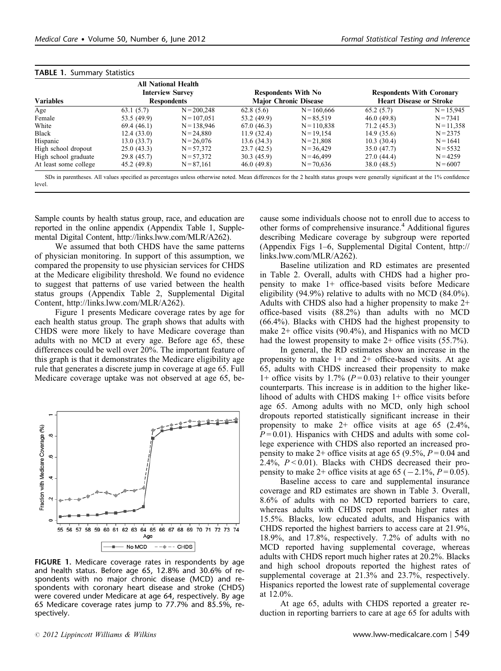| <b>Variables</b>      | All National Health<br><b>Interview Survey</b><br><b>Respondents</b> |               |             | <b>Respondents With No</b><br><b>Major Chronic Disease</b> | <b>Respondents With Coronary</b><br><b>Heart Disease or Stroke</b> |              |  |
|-----------------------|----------------------------------------------------------------------|---------------|-------------|------------------------------------------------------------|--------------------------------------------------------------------|--------------|--|
| Age                   | 63.1(5.7)                                                            | $N = 200,248$ | 62.8(5.6)   | $N = 160,666$                                              | 65.2(5.7)                                                          | $N = 15.945$ |  |
| Female                | 53.5 (49.9)                                                          | $N = 107.051$ | 53.2 (49.9) | $N = 85.519$                                               | 46.0(49.8)                                                         | $N = 7341$   |  |
| White                 | 69.4(46.1)                                                           | $N = 138,946$ | 67.0(46.3)  | $N = 110.838$                                              | 71.2(45.3)                                                         | $N = 11,358$ |  |
| Black                 | 12.4 (33.0)                                                          | $N = 24,880$  | 11.9(32.4)  | $N = 19,154$                                               | 14.9(35.6)                                                         | $N = 2375$   |  |
| Hispanic              | 13.0 (33.7)                                                          | $N = 26.076$  | 13.6(34.3)  | $N = 21.808$                                               | 10.3(30.4)                                                         | $N = 1641$   |  |
| High school dropout   | 25.0(43.3)                                                           | $N = 57,372$  | 23.7(42.5)  | $N = 36,429$                                               | 35.0(47.7)                                                         | $N = 5532$   |  |
| High school graduate  | 29.8 (45.7)                                                          | $N = 57,372$  | 30.3(45.9)  | $N = 46,499$                                               | 27.0(44.4)                                                         | $N = 4259$   |  |
| At least some college | 45.2 (49.8)                                                          | $N = 87,161$  | 46.0(49.8)  | $N = 70,636$                                               | 38.0 (48.5)                                                        | $N = 6007$   |  |

<span id="page-2-0"></span> $TADIF 1.$   $Cummon F1$ 

SDs in parentheses. All values specified as percentages unless otherwise noted. Mean differences for the 2 health status groups were generally significant at the 1% confidence level.

Sample counts by health status group, race, and education are reported in the online appendix (Appendix Table 1, Supplemental Digital Content, [http://links.lww.com/MLR/A262\)](http://links.lww.com/MLR/A262).

We assumed that both CHDS have the same patterns of physician monitoring. In support of this assumption, we compared the propensity to use physician services for CHDS at the Medicare eligibility threshold. We found no evidence to suggest that patterns of use varied between the health status groups (Appendix Table 2, Supplemental Digital Content,<http://links.lww.com/MLR/A262>).

Figure 1 presents Medicare coverage rates by age for each health status group. The graph shows that adults with CHDS were more likely to have Medicare coverage than adults with no MCD at every age. Before age 65, these differences could be well over 20%. The important feature of this graph is that it demonstrates the Medicare eligibility age rule that generates a discrete jump in coverage at age 65. Full Medicare coverage uptake was not observed at age 65, be-



FIGURE 1. Medicare coverage rates in respondents by age and health status. Before age 65, 12.8% and 30.6% of respondents with no major chronic disease (MCD) and respondents with coronary heart disease and stroke (CHDS) were covered under Medicare at age 64, respectively. By age 65 Medicare coverage rates jump to 77.7% and 85.5%, respectively.

cause some individuals choose not to enroll due to access to other forms of comprehensive insurance.<sup>[4](#page-5-0)</sup> Additional figures describing Medicare coverage by subgroup were reported (Appendix Figs 1–6, Supplemental Digital Content, [http://](http://links.lww.com/MLR/A262) [links.lww.com/MLR/A262\)](http://links.lww.com/MLR/A262).

Baseline utilization and RD estimates are presented in [Table 2](#page-3-0). Overall, adults with CHDS had a higher propensity to make 1+ office-based visits before Medicare eligibility (94.9%) relative to adults with no MCD (84.0%). Adults with CHDS also had a higher propensity to make 2+ office-based visits (88.2%) than adults with no MCD (66.4%). Blacks with CHDS had the highest propensity to make 2+ office visits (90.4%), and Hispanics with no MCD had the lowest propensity to make 2+ office visits (55.7%).

In general, the RD estimates show an increase in the propensity to make  $1+$  and  $2+$  office-based visits. At age 65, adults with CHDS increased their propensity to make 1+ office visits by 1.7% ( $P = 0.03$ ) relative to their younger counterparts. This increase is in addition to the higher likelihood of adults with CHDS making 1+ office visits before age 65. Among adults with no MCD, only high school dropouts reported statistically significant increase in their propensity to make 2+ office visits at age 65 (2.4%,  $P = 0.01$ ). Hispanics with CHDS and adults with some college experience with CHDS also reported an increased propensity to make  $2+$  office visits at age 65 (9.5%,  $P=0.04$  and 2.4%, *P* < 0.01). Blacks with CHDS decreased their propensity to make  $2+$  office visits at age  $65 (-2.1\%, P=0.05)$ .

Baseline access to care and supplemental insurance coverage and RD estimates are shown in [Table 3.](#page-4-0) Overall, 8.6% of adults with no MCD reported barriers to care, whereas adults with CHDS report much higher rates at 15.5%. Blacks, low educated adults, and Hispanics with CHDS reported the highest barriers to access care at 21.9%, 18.9%, and 17.8%, respectively. 7.2% of adults with no MCD reported having supplemental coverage, whereas adults with CHDS report much higher rates at 20.2%. Blacks and high school dropouts reported the highest rates of supplemental coverage at 21.3% and 23.7%, respectively. Hispanics reported the lowest rate of supplemental coverage at 12.0%.

At age 65, adults with CHDS reported a greater reduction in reporting barriers to care at age 65 for adults with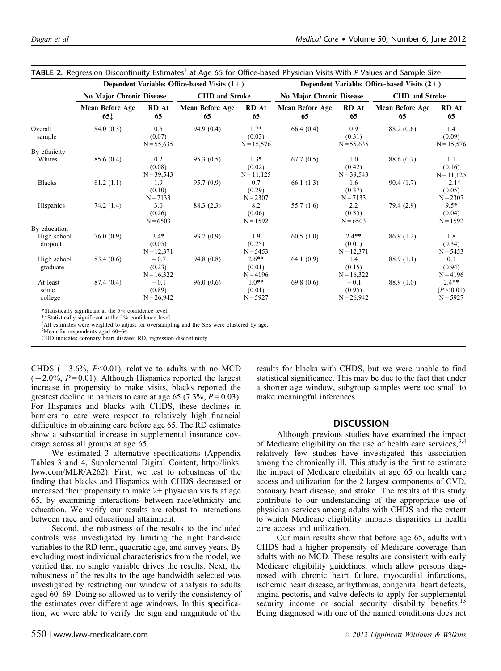|                             |                                    | Dependent Variable: Office-based Visits $(1+)$ | Dependent Variable: Office-based Visits $(2+)$ |                                  |                              |                                   |                       |                                     |
|-----------------------------|------------------------------------|------------------------------------------------|------------------------------------------------|----------------------------------|------------------------------|-----------------------------------|-----------------------|-------------------------------------|
|                             | No Major Chronic Disease           |                                                | <b>CHD</b> and Stroke                          |                                  | No Major Chronic Disease     |                                   | <b>CHD</b> and Stroke |                                     |
|                             | Mean Before Age<br>65 <sup>†</sup> | RD At<br>65                                    | Mean Before Age<br>65                          | RD At<br>65                      | <b>Mean Before Age</b><br>65 | RD At<br>65                       | Mean Before Age<br>65 | RD At<br>65                         |
| Overall<br>sample           | 84.0(0.3)                          | 0.5<br>(0.07)<br>$N = 55,635$                  | 94.9(0.4)                                      | $1.7*$<br>(0.03)<br>$N = 15,576$ | 66.4(0.4)                    | 0.9<br>(0.31)<br>$N = 55,635$     | 88.2(0.6)             | 1.4<br>(0.09)<br>$N = 15,576$       |
| By ethnicity                |                                    |                                                |                                                |                                  |                              |                                   |                       |                                     |
| Whites                      | 85.6 (0.4)                         | 0.2<br>(0.08)<br>$N = 39,543$                  | 95.3(0.5)                                      | $1.3*$<br>(0.02)<br>$N = 11,125$ | 67.7(0.5)                    | 1.0<br>(0.42)<br>$N = 39,543$     | 88.6 (0.7)            | 1.1<br>(0.16)<br>$N = 11,125$       |
| <b>Blacks</b>               | 81.2(1.1)                          | 1.9<br>(0.10)<br>$N = 7133$                    | 95.7(0.9)                                      | 0.7<br>(0.29)<br>$N = 2307$      | 66.1(1.3)                    | 1.6<br>(0.37)<br>$N = 7133$       | 90.4(1.7)             | $-2.1*$<br>(0.05)<br>$N = 2307$     |
| Hispanics                   | 74.2(1.4)                          | 3.0<br>(0.26)<br>$N = 6503$                    | 88.3(2.3)                                      | 8.2<br>(0.06)<br>$N = 1592$      | 55.7 $(1.6)$                 | 2.2<br>(0.35)<br>$N = 6503$       | 79.4(2.9)             | $9.5*$<br>(0.04)<br>$N = 1592$      |
| By education                |                                    |                                                |                                                |                                  |                              |                                   |                       |                                     |
| High school<br>dropout      | 76.0(0.9)                          | $3.4*$<br>(0.05)<br>$N = 12,371$               | 93.7(0.9)                                      | 1.9<br>(0.25)<br>$N = 5453$      | 60.5(1.0)                    | $2.4**$<br>(0.01)<br>$N = 12,371$ | 86.9(1.2)             | 1.8<br>(0.34)<br>$N = 5453$         |
| High school<br>graduate     | 83.4 (0.6)                         | $-0.7$<br>(0.23)<br>$N = 16,322$               | 94.8(0.8)                                      | $2.6**$<br>(0.01)<br>$N = 4196$  | 64.1(0.9)                    | 1.4<br>(0.15)<br>$N = 16,322$     | 88.9(1.1)             | 0.1<br>(0.94)<br>$N = 4196$         |
| At least<br>some<br>college | 87.4 (0.4)                         | $-0.1$<br>(0.89)<br>$N = 26,942$               | 96.0(0.6)                                      | $1.0**$<br>(0.01)<br>$N = 5927$  | 69.8(0.6)                    | $-0.1$<br>(0.95)<br>$N = 26,942$  | 88.9(1.0)             | $2.4**$<br>(P < 0.01)<br>$N = 5927$ |

<span id="page-3-0"></span>**TABLE 2.** Regression Discontinuity Estimates<sup>†</sup> at Age 65 for Office-based Physician Visits With P Values and Sample Size

\*Statistically significant at the 5% confidence level.

\*\*Statistically significant at the 1% confidence level

All estimates were weighted to adjust for oversampling and the SEs were clustered by age.

\*Mean for respondents aged 60-64.

CHD indicates coronary heart disease; RD, regression discontinuity.

CHDS  $(-3.6\%, P<0.01)$ , relative to adults with no MCD  $(-2.0\%, P=0.01)$ . Although Hispanics reported the largest increase in propensity to make visits, blacks reported the greatest decline in barriers to care at age 65 (7.3%,  $P = 0.03$ ). For Hispanics and blacks with CHDS, these declines in barriers to care were respect to relatively high financial difficulties in obtaining care before age 65. The RD estimates show a substantial increase in supplemental insurance coverage across all groups at age 65.

We estimated 3 alternative specifications (Appendix Tables 3 and 4, Supplemental Digital Content, [http://links.](http://links.lww.com/MLR/A262) [lww.com/MLR/A262\)](http://links.lww.com/MLR/A262). First, we test to robustness of the finding that blacks and Hispanics with CHDS decreased or increased their propensity to make 2+ physician visits at age 65, by examining interactions between race/ethnicity and education. We verify our results are robust to interactions between race and educational attainment.

Second, the robustness of the results to the included controls was investigated by limiting the right hand-side variables to the RD term, quadratic age, and survey years. By excluding most individual characteristics from the model, we verified that no single variable drives the results. Next, the robustness of the results to the age bandwidth selected was investigated by restricting our window of analysis to adults aged 60–69. Doing so allowed us to verify the consistency of the estimates over different age windows. In this specification, we were able to verify the sign and magnitude of the results for blacks with CHDS, but we were unable to find statistical significance. This may be due to the fact that under a shorter age window, subgroup samples were too small to make meaningful inferences.

#### DISCUSSION

Although previous studies have examined the impact of Medicare eligibility on the use of health care services,  $3,4$ relatively few studies have investigated this association among the chronically ill. This study is the first to estimate the impact of Medicare eligibility at age 65 on health care access and utilization for the 2 largest components of CVD, coronary heart disease, and stroke. The results of this study contribute to our understanding of the appropriate use of physician services among adults with CHDS and the extent to which Medicare eligibility impacts disparities in health care access and utilization.

Our main results show that before age 65, adults with CHDS had a higher propensity of Medicare coverage than adults with no MCD. These results are consistent with early Medicare eligibility guidelines, which allow persons diagnosed with chronic heart failure, myocardial infarctions, ischemic heart disease, arrhythmias, congenital heart defects, angina pectoris, and valve defects to apply for supplemental security income or social security disability benefits.<sup>13</sup> Being diagnosed with one of the named conditions does not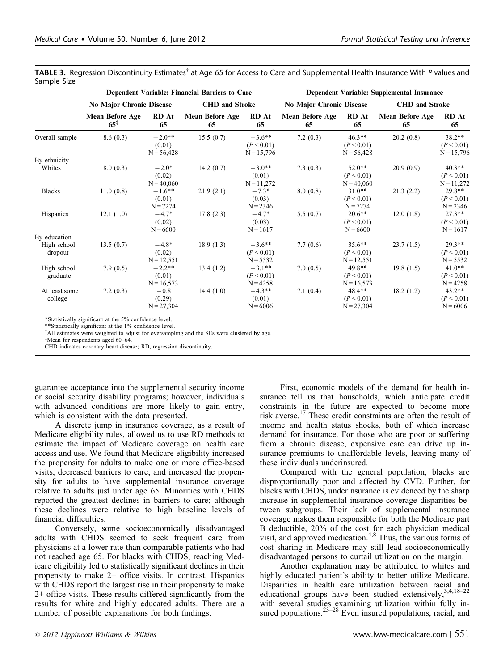<span id="page-4-0"></span>

|             | <code>TABLE</code> 3. Regression Discontinuity Estimates $^\dagger$ at Age 65 for Access to Care and Supplemental Health Insurance With P values and |  |  |  |  |  |
|-------------|------------------------------------------------------------------------------------------------------------------------------------------------------|--|--|--|--|--|
| Sample Size |                                                                                                                                                      |  |  |  |  |  |

|                          |                                    | Dependent Variable: Financial Barriers to Care | <b>Dependent Variable: Supplemental Insurance</b> |                                        |                          |                                         |                       |                                        |
|--------------------------|------------------------------------|------------------------------------------------|---------------------------------------------------|----------------------------------------|--------------------------|-----------------------------------------|-----------------------|----------------------------------------|
|                          | No Major Chronic Disease           |                                                | <b>CHD</b> and Stroke                             |                                        | No Major Chronic Disease |                                         | <b>CHD</b> and Stroke |                                        |
|                          | Mean Before Age<br>$65^{\ddagger}$ | RD At<br>65                                    | Mean Before Age<br>65                             | <b>RD</b> At<br>65                     | Mean Before Age<br>65    | RD At<br>65                             | Mean Before Age<br>65 | RD At<br>65                            |
| Overall sample           | 8.6(0.3)                           | $-2.0**$<br>(0.01)<br>$N = 56,428$             | 15.5(0.7)                                         | $-3.6**$<br>(P < 0.01)<br>$N = 15,796$ | 7.2(0.3)                 | $46.3**$<br>(P < 0.01)<br>$N = 56,428$  | 20.2(0.8)             | $38.2**$<br>(P < 0.01)<br>$N = 15,796$ |
| By ethnicity             |                                    |                                                |                                                   |                                        |                          |                                         |                       |                                        |
| Whites                   | 8.0(0.3)                           | $-2.0*$<br>(0.02)<br>$N = 40,060$              | 14.2(0.7)                                         | $-3.0**$<br>(0.01)<br>$N = 11,272$     | 7.3(0.3)                 | $52.0**$<br>(P < 0.01)<br>$N = 40,060$  | 20.9(0.9)             | $40.3**$<br>(P < 0.01)<br>$N = 11,272$ |
| <b>Blacks</b>            | 11.0(0.8)                          | $-1.6***$<br>(0.01)<br>$N = 7274$              | 21.9(2.1)                                         | $-7.3*$<br>(0.03)<br>$N = 2346$        | 8.0(0.8)                 | $31.0**$<br>(P < 0.01)<br>$N = 7274$    | 21.3(2.2)             | 29.8**<br>(P < 0.01)<br>$N = 2346$     |
| <b>Hispanics</b>         | 12.1(1.0)                          | $-4.7*$<br>(0.02)<br>$N = 6600$                | 17.8(2.3)                                         | $-4.7*$<br>(0.03)<br>$N = 1617$        | 5.5(0.7)                 | $20.6**$<br>(P < 0.01)<br>$N = 6600$    | 12.0(1.8)             | $27.3**$<br>(P < 0.01)<br>$N = 1617$   |
| By education             |                                    |                                                |                                                   |                                        |                          |                                         |                       |                                        |
| High school<br>dropout   | 13.5(0.7)                          | $-4.8*$<br>(0.02)<br>$N = 12,551$              | 18.9(1.3)                                         | $-3.6**$<br>(P < 0.01)<br>$N = 5532$   | 7.7(0.6)                 | $35.6***$<br>(P < 0.01)<br>$N = 12,551$ | 23.7(1.5)             | $29.3**$<br>(P < 0.01)<br>$N = 5532$   |
| High school<br>graduate  | 7.9(0.5)                           | $-2.2**$<br>(0.01)<br>$N = 16,573$             | 13.4(1.2)                                         | $-3.1**$<br>(P < 0.01)<br>$N = 4258$   | 7.0(0.5)                 | $49.8**$<br>(P < 0.01)<br>$N = 16,573$  | 19.8(1.5)             | $41.0**$<br>(P < 0.01)<br>$N = 4258$   |
| At least some<br>college | 7.2(0.3)                           | $-0.8$<br>(0.29)<br>$N = 27,304$               | 14.4(1.0)                                         | $-4.3**$<br>(0.01)<br>$N = 6006$       | 7.1(0.4)                 | $48.4**$<br>(P < 0.01)<br>$N = 27,304$  | 18.2(1.2)             | $43.2**$<br>(P < 0.01)<br>$N = 6006$   |

\*Statistically significant at the 5% confidence level.

\*\*Statistically significant at the 1% confidence level.

<sup>†</sup>All estimates were weighted to adjust for oversampling and the SEs were clustered by age.

z Mean for respondents aged 60–64.

CHD indicates coronary heart disease; RD, regression discontinuity.

guarantee acceptance into the supplemental security income or social security disability programs; however, individuals with advanced conditions are more likely to gain entry, which is consistent with the data presented.

A discrete jump in insurance coverage, as a result of Medicare eligibility rules, allowed us to use RD methods to estimate the impact of Medicare coverage on health care access and use. We found that Medicare eligibility increased the propensity for adults to make one or more office-based visits, decreased barriers to care, and increased the propensity for adults to have supplemental insurance coverage relative to adults just under age 65. Minorities with CHDS reported the greatest declines in barriers to care; although these declines were relative to high baseline levels of financial difficulties.

Conversely, some socioeconomically disadvantaged adults with CHDS seemed to seek frequent care from physicians at a lower rate than comparable patients who had not reached age 65. For blacks with CHDS, reaching Medicare eligibility led to statistically significant declines in their propensity to make 2+ office visits. In contrast, Hispanics with CHDS report the largest rise in their propensity to make 2+ office visits. These results differed significantly from the results for white and highly educated adults. There are a number of possible explanations for both findings.

First, economic models of the demand for health insurance tell us that households, which anticipate credit constraints in the future are expected to become more risk averse.[17](#page-5-0) These credit constraints are often the result of income and health status shocks, both of which increase demand for insurance. For those who are poor or suffering from a chronic disease, expensive care can drive up insurance premiums to unaffordable levels, leaving many of these individuals underinsured.

Compared with the general population, blacks are disproportionally poor and affected by CVD. Further, for blacks with CHDS, underinsurance is evidenced by the sharp increase in supplemental insurance coverage disparities between subgroups. Their lack of supplemental insurance coverage makes them responsible for both the Medicare part B deductible, 20% of the cost for each physician medical visit, and approved medication.<sup>[4,8](#page-5-0)</sup> Thus, the various forms of cost sharing in Medicare may still lead socioeconomically disadvantaged persons to curtail utilization on the margin.

Another explanation may be attributed to whites and highly educated patient's ability to better utilize Medicare. Disparities in health care utilization between racial and educational groups have been studied extensively,  $3,4,18-22$ with several studies examining utilization within fully insured populations. $23-28$  Even insured populations, racial, and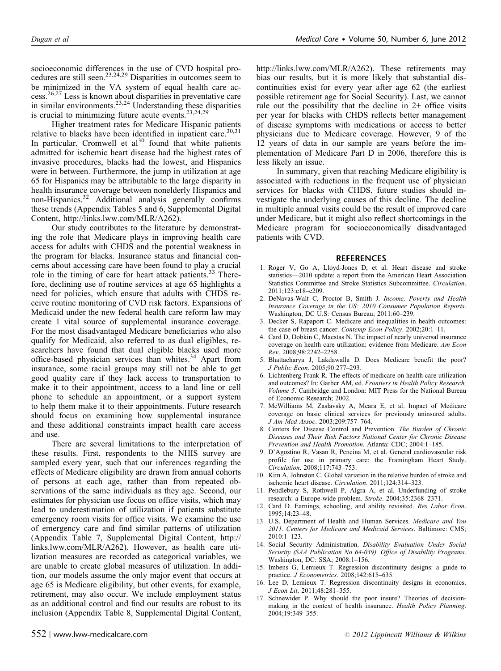<span id="page-5-0"></span>socioeconomic differences in the use of CVD hospital pro-cedures are still seen.<sup>[23,24,29](#page-6-0)</sup> Disparities in outcomes seem to be minimized in the VA system of equal health care ac- $cess.<sup>26,27</sup>$  $cess.<sup>26,27</sup>$  $cess.<sup>26,27</sup>$  Less is known about disparities in preventative care in similar environments. $23,24$  Understanding these disparities is crucial to minimizing future acute events.<sup>[23,24,29](#page-6-0)</sup>

Higher treatment rates for Medicare Hispanic patients relative to blacks have been identified in inpatient care.<sup>[30,31](#page-6-0)</sup> In particular, Cromwell et al<sup>[30](#page-6-0)</sup> found that white patients admitted for ischemic heart disease had the highest rates of invasive procedures, blacks had the lowest, and Hispanics were in between. Furthermore, the jump in utilization at age 65 for Hispanics may be attributable to the large disparity in health insurance coverage between nonelderly Hispanics and non-Hispanics.[32](#page-6-0) Additional analysis generally confirms these trends (Appendix Tables 5 and 6, Supplemental Digital Content,<http://links.lww.com/MLR/A262>).

Our study contributes to the literature by demonstrating the role that Medicare plays in improving health care access for adults with CHDS and the potential weakness in the program for blacks. Insurance status and financial concerns about accessing care have been found to play a crucial role in the timing of care for heart attack patients.[33](#page-6-0) Therefore, declining use of routine services at age 65 highlights a need for policies, which ensure that adults with CHDS receive routine monitoring of CVD risk factors. Expansions of Medicaid under the new federal health care reform law may create 1 vital source of supplemental insurance coverage. For the most disadvantaged Medicare beneficiaries who also qualify for Medicaid, also referred to as dual eligibles, researchers have found that dual eligible blacks used more office-based physician services than whites.<sup>[34](#page-6-0)</sup> Apart from insurance, some racial groups may still not be able to get good quality care if they lack access to transportation to make it to their appointment, access to a land line or cell phone to schedule an appointment, or a support system to help them make it to their appointments. Future research should focus on examining how supplemental insurance and these additional constraints impact health care access and use.

There are several limitations to the interpretation of these results. First, respondents to the NHIS survey are sampled every year, such that our inferences regarding the effects of Medicare eligibility are drawn from annual cohorts of persons at each age, rather than from repeated observations of the same individuals as they age. Second, our estimates for physician use focus on office visits, which may lead to underestimation of utilization if patients substitute emergency room visits for office visits. We examine the use of emergency care and find similar patterns of utilization (Appendix Table 7, Supplemental Digital Content, [http://](http://links.lww.com/MLR/A262) [links.lww.com/MLR/A262\)](http://links.lww.com/MLR/A262). However, as health care utilization measures are recorded as categorical variables, we are unable to create global measures of utilization. In addition, our models assume the only major event that occurs at age 65 is Medicare eligibility, but other events, for example, retirement, may also occur. We include employment status as an additional control and find our results are robust to its inclusion (Appendix Table 8, Supplemental Digital Content,

[http://links.lww.com/MLR/A262\)](http://links.lww.com/MLR/A262). These retirements may bias our results, but it is more likely that substantial discontinuities exist for every year after age 62 (the earliest possible retirement age for Social Security). Last, we cannot rule out the possibility that the decline in  $2+$  office visits per year for blacks with CHDS reflects better management of disease symptoms with medications or access to better physicians due to Medicare coverage. However, 9 of the 12 years of data in our sample are years before the implementation of Medicare Part D in 2006, therefore this is less likely an issue.

In summary, given that reaching Medicare eligibility is associated with reductions in the frequent use of physician services for blacks with CHDS, future studies should investigate the underlying causes of this decline. The decline in multiple annual visits could be the result of improved care under Medicare, but it might also reflect shortcomings in the Medicare program for socioeconomically disadvantaged patients with CVD.

#### REFERENCES

- 1. Roger V, Go A, Lloyd-Jones D, et al. Heart disease and stroke statistics—2010 update: a report from the American Heart Association Statistics Committee and Stroke Statistics Subcommittee. *Circulation*. 2011;123:e18–e209.
- 2. DeNavas-Walt C, Proctor B, Smith J. *Income, Poverty and Health Insurance Coverage in the US: 2010 Consumer Population Reports*. Washington, DC U.S: Census Bureau; 2011:60–239.
- 3. Decker S, Rapaport C. Medicare and inequalities in health outcomes: the case of breast cancer. *Contemp Econ Policy*. 2002;20:1–11.
- 4. Card D, Dobkin C, Maestas N. The impact of nearly universal insurance coverage on health care utilization: evidence from Medicare. *Am Econ Rev*. 2008;98:2242–2258.
- 5. Bhattacharya J, Lakdawalla D. Does Medicare benefit the poor? *J Public Econ*. 2005;90:277–293.
- 6. Lichtenberg Frank R. The effects of medicare on health care utilization and outcomes? In: Garber AM, ed. *Frontiers in Health Policy Research, Volume 5*. Cambridge and London: MIT Press for the National Bureau of Economic Research; 2002.
- 7. McWilliams M, Zaslavsky A, Meara E, et al. Impact of Medicare coverage on basic clinical services for previously uninsured adults. *J Am Med Assoc*. 2003;209:757–764.
- 8. Centers for Disease Control and Prevention. *The Burden of Chronic Diseases and Their Risk Factors National Center for Chronic Disease Prevention and Health Promotion*. Atlanta: CDC; 2004:1–185.
- 9. D'Agostino R, Vasan R, Pencina M, et al. General cardiovascular risk profile for use in primary care: the Framingham Heart Study. *Circulation*. 2008;117:743–753.
- 10. Kim A, Johnston C. Global variation in the relative burden of stroke and ischemic heart disease. *Circulation*. 2011;124:314–323.
- 11. Pendlebury S, Rothwell P, Algra A, et al. Underfunding of stroke research: a Europe-wide problem. *Stroke*. 2004;35:2368–2371.
- 12. Card D. Earnings, schooling, and ability revisited. *Res Labor Econ*. 1995;14:23–48.
- 13. U.S. Department of Health and Human Services. *Medicare and You 2011. Centers for Medicare and Medicaid Services*. Baltimore: CMS; 2010:1–123.
- 14. Social Security Administration. *Disability Evaluation Under Social Security (SAA Publication No 64-039). Office of Disability Programs*. Washington, DC: SSA; 2008:1–156.
- 15. Imbens G, Lemieux T. Regression discontinuity designs: a guide to practice. *J Econometrics*. 2008;142:615–635.
- 16. Lee D, Lemieux T. Regression discontinuity designs in economics. *J Econ Lit*. 2011;48:281–355.
- 17. Schnewider P. Why should the poor insure? Theories of decisionmaking in the context of health insurance. *Health Policy Planning*. 2004;19:349–355.